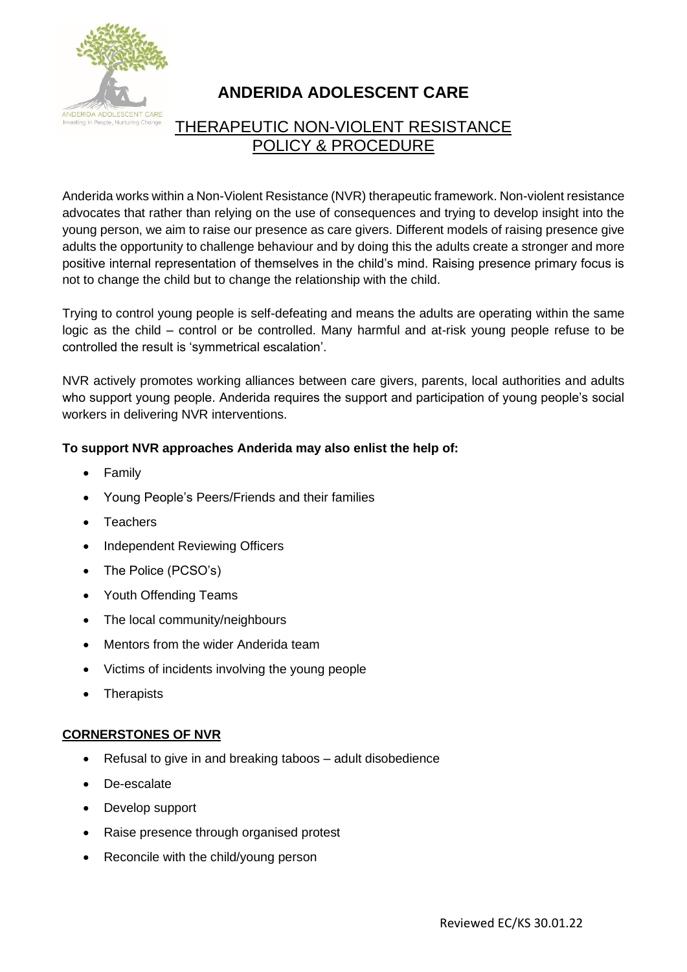

# **ANDERIDA ADOLESCENT CARE**

# THERAPEUTIC NON-VIOLENT RESISTANCE POLICY & PROCEDURE

Anderida works within a Non-Violent Resistance (NVR) therapeutic framework. Non-violent resistance advocates that rather than relying on the use of consequences and trying to develop insight into the young person, we aim to raise our presence as care givers. Different models of raising presence give adults the opportunity to challenge behaviour and by doing this the adults create a stronger and more positive internal representation of themselves in the child's mind. Raising presence primary focus is not to change the child but to change the relationship with the child.

Trying to control young people is self-defeating and means the adults are operating within the same logic as the child – control or be controlled. Many harmful and at-risk young people refuse to be controlled the result is 'symmetrical escalation'.

NVR actively promotes working alliances between care givers, parents, local authorities and adults who support young people. Anderida requires the support and participation of young people's social workers in delivering NVR interventions.

## **To support NVR approaches Anderida may also enlist the help of:**

- Family
- Young People's Peers/Friends and their families
- **Teachers**
- Independent Reviewing Officers
- The Police (PCSO's)
- Youth Offending Teams
- The local community/neighbours
- Mentors from the wider Anderida team
- Victims of incidents involving the young people
- Therapists

#### **CORNERSTONES OF NVR**

- Refusal to give in and breaking taboos adult disobedience
- De-escalate
- Develop support
- Raise presence through organised protest
- Reconcile with the child/young person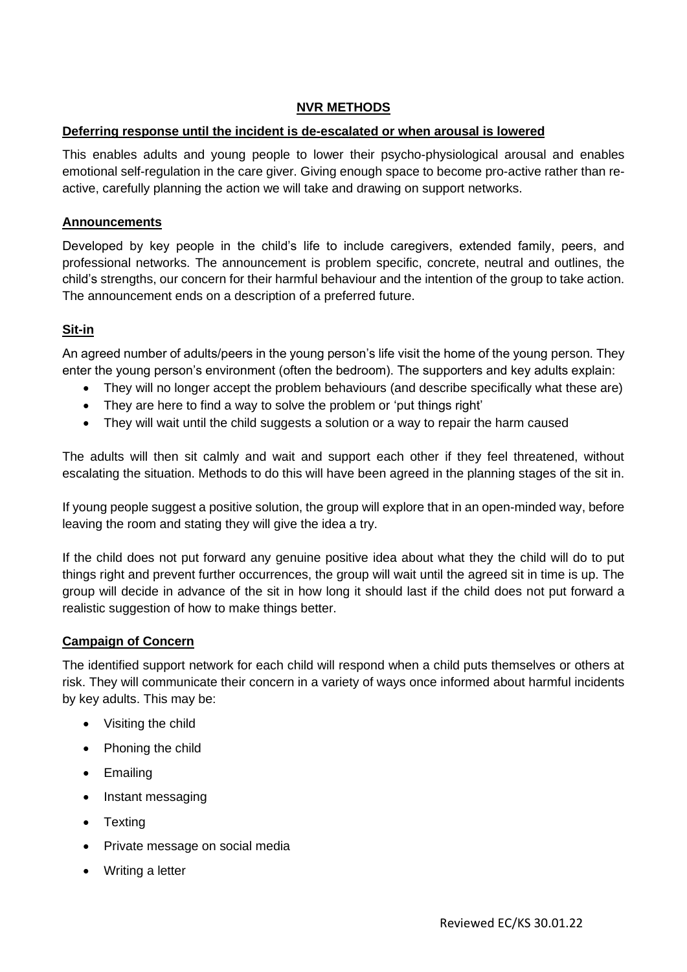#### **NVR METHODS**

#### **Deferring response until the incident is de-escalated or when arousal is lowered**

This enables adults and young people to lower their psycho-physiological arousal and enables emotional self-regulation in the care giver. Giving enough space to become pro-active rather than reactive, carefully planning the action we will take and drawing on support networks.

#### **Announcements**

Developed by key people in the child's life to include caregivers, extended family, peers, and professional networks. The announcement is problem specific, concrete, neutral and outlines, the child's strengths, our concern for their harmful behaviour and the intention of the group to take action. The announcement ends on a description of a preferred future.

## **Sit-in**

An agreed number of adults/peers in the young person's life visit the home of the young person. They enter the young person's environment (often the bedroom). The supporters and key adults explain:

- They will no longer accept the problem behaviours (and describe specifically what these are)
- They are here to find a way to solve the problem or 'put things right'
- They will wait until the child suggests a solution or a way to repair the harm caused

The adults will then sit calmly and wait and support each other if they feel threatened, without escalating the situation. Methods to do this will have been agreed in the planning stages of the sit in.

If young people suggest a positive solution, the group will explore that in an open-minded way, before leaving the room and stating they will give the idea a try.

If the child does not put forward any genuine positive idea about what they the child will do to put things right and prevent further occurrences, the group will wait until the agreed sit in time is up. The group will decide in advance of the sit in how long it should last if the child does not put forward a realistic suggestion of how to make things better.

#### **Campaign of Concern**

The identified support network for each child will respond when a child puts themselves or others at risk. They will communicate their concern in a variety of ways once informed about harmful incidents by key adults. This may be:

- Visiting the child
- Phoning the child
- Emailing
- Instant messaging
- Texting
- Private message on social media
- Writing a letter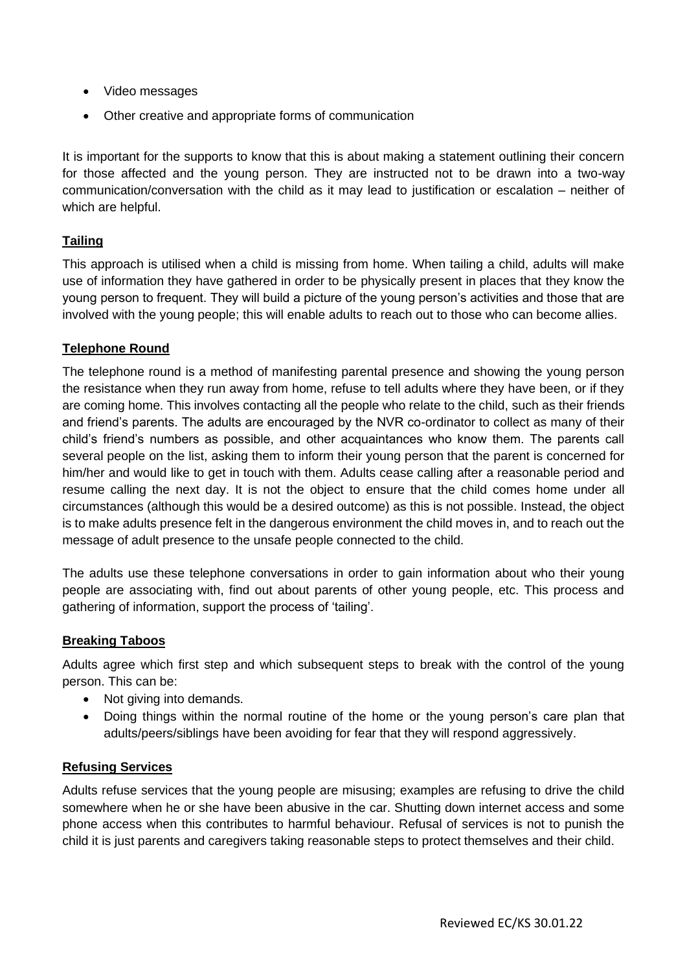- Video messages
- Other creative and appropriate forms of communication

It is important for the supports to know that this is about making a statement outlining their concern for those affected and the young person. They are instructed not to be drawn into a two-way communication/conversation with the child as it may lead to justification or escalation – neither of which are helpful.

#### **Tailing**

This approach is utilised when a child is missing from home. When tailing a child, adults will make use of information they have gathered in order to be physically present in places that they know the young person to frequent. They will build a picture of the young person's activities and those that are involved with the young people; this will enable adults to reach out to those who can become allies.

#### **Telephone Round**

The telephone round is a method of manifesting parental presence and showing the young person the resistance when they run away from home, refuse to tell adults where they have been, or if they are coming home. This involves contacting all the people who relate to the child, such as their friends and friend's parents. The adults are encouraged by the NVR co-ordinator to collect as many of their child's friend's numbers as possible, and other acquaintances who know them. The parents call several people on the list, asking them to inform their young person that the parent is concerned for him/her and would like to get in touch with them. Adults cease calling after a reasonable period and resume calling the next day. It is not the object to ensure that the child comes home under all circumstances (although this would be a desired outcome) as this is not possible. Instead, the object is to make adults presence felt in the dangerous environment the child moves in, and to reach out the message of adult presence to the unsafe people connected to the child.

The adults use these telephone conversations in order to gain information about who their young people are associating with, find out about parents of other young people, etc. This process and gathering of information, support the process of 'tailing'.

#### **Breaking Taboos**

Adults agree which first step and which subsequent steps to break with the control of the young person. This can be:

- Not giving into demands.
- Doing things within the normal routine of the home or the young person's care plan that adults/peers/siblings have been avoiding for fear that they will respond aggressively.

#### **Refusing Services**

Adults refuse services that the young people are misusing; examples are refusing to drive the child somewhere when he or she have been abusive in the car. Shutting down internet access and some phone access when this contributes to harmful behaviour. Refusal of services is not to punish the child it is just parents and caregivers taking reasonable steps to protect themselves and their child.